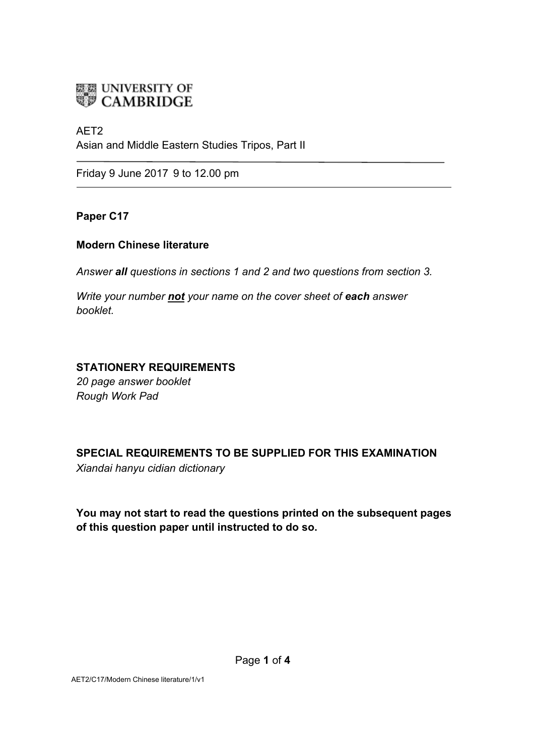# **ELE UNIVERSITY OF**<br>**CAMBRIDGE**

### AET2

Asian and Middle Eastern Studies Tripos, Part II

Friday 9 June 2017 9 to 12.00 pm

# **Paper C17**

### **Modern Chinese literature**

*Answer all questions in sections 1 and 2 and two questions from section 3.*

*Write your number not your name on the cover sheet of each answer booklet.* 

# **STATIONERY REQUIREMENTS**

*20 page answer booklet Rough Work Pad*

**SPECIAL REQUIREMENTS TO BE SUPPLIED FOR THIS EXAMINATION** *Xiandai hanyu cidian dictionary* 

**You may not start to read the questions printed on the subsequent pages of this question paper until instructed to do so.**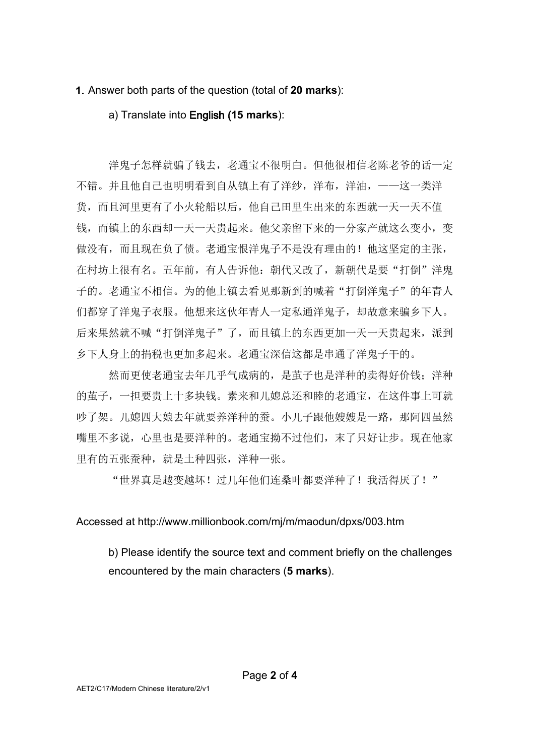**1.** Answer both parts of the question (total of **20 marks**):

a) Translate into English (**15 marks**):

洋鬼子怎样就骗了钱去,老通宝不很明白。但他很相信老陈老爷的话一定 不错。并且他自己也明明看到自从镇上有了洋纱,洋布,洋油,——这一类洋 货,而且河里更有了小火轮船以后,他自己田里生出来的东西就一天一天不值 钱,而镇上的东西却一天一天贵起来。他父亲留下来的一分家产就这么变小,变 做没有,而且现在负了债。老通宝恨洋鬼子不是没有理由的!他这坚定的主张, 在村坊上很有名。五年前,有人告诉他: 朝代又改了, 新朝代是要"打倒"洋鬼 子的。老通宝不相信。为的他上镇去看见那新到的喊着"打倒洋鬼子"的年青人 们都穿了洋鬼子衣服。他想来这伙年青人一定私通洋鬼子,却故意来骗乡下人。 后来果然就不喊"打倒洋鬼子"了,而且镇上的东西更加一天一天贵起来,派到 乡下人身上的捐税也更加多起来。老通宝深信这都是串通了洋鬼子干的。

然而更使老通宝去年几乎气成病的,是茧子也是洋种的卖得好价钱;洋种 的茧子,一担要贵上十多块钱。素来和儿媳总还和睦的老通宝,在这件事上可就 吵了架。儿媳四大娘去年就要养洋种的蚕。小儿子跟他嫂嫂是一路,那阿四虽然 嘴里不多说,心里也是要洋种的。老通宝拗不过他们,末了只好让步。现在他家 里有的五张蚕种,就是土种四张,洋种一张。

"世界真是越变越坏!过几年他们连桑叶都要洋种了!我活得厌了!"

Accessed at http://www.millionbook.com/mj/m/maodun/dpxs/003.htm

b) Please identify the source text and comment briefly on the challenges encountered by the main characters (**5 marks**).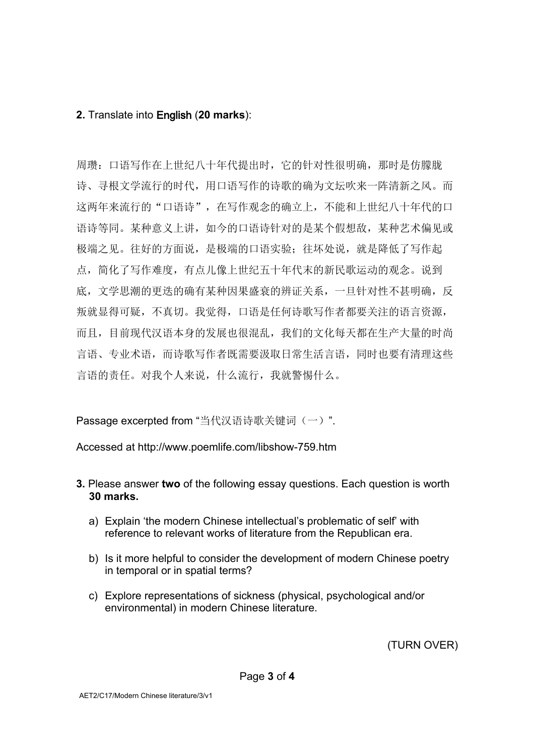# **2.** Translate into English (**20 marks**):

周瓒:口语写作在上世纪八十年代提出时,它的针对性很明确,那时是仿朦胧 诗、寻根文学流行的时代,用口语写作的诗歌的确为文坛吹来一阵清新之风。而 这两年来流行的"口语诗",在写作观念的确立上,不能和上世纪八十年代的口 语诗等同。某种意义上讲,如今的口语诗针对的是某个假想敌,某种艺术偏见或 极端之见。往好的方面说,是极端的口语实验:往坏处说,就是降低了写作起 点,简化了写作难度,有点儿像上世纪五十年代末的新民歌运动的观念。说到 底,文学思潮的更迭的确有某种因果盛衰的辨证关系,一旦针对性不甚明确,反 叛就显得可疑,不真切。我觉得,口语是任何诗歌写作者都要关注的语言资源, 而且,目前现代汉语本身的发展也很混乱,我们的文化每天都在生产大量的时尚 言语、专业术语,而诗歌写作者既需要汲取日常生活言语,同时也要有清理这些 言语的责任。对我个人来说,什么流行,我就警惕什么。

Passage excerpted from "当代汉语诗歌关键词(一)".

Accessed at http://www.poemlife.com/libshow-759.htm

- **3.** Please answer **two** of the following essay questions. Each question is worth **30 marks.**
	- a) Explain 'the modern Chinese intellectual's problematic of self' with reference to relevant works of literature from the Republican era.
	- b) Is it more helpful to consider the development of modern Chinese poetry in temporal or in spatial terms?
	- c) Explore representations of sickness (physical, psychological and/or environmental) in modern Chinese literature.

(TURN OVER)